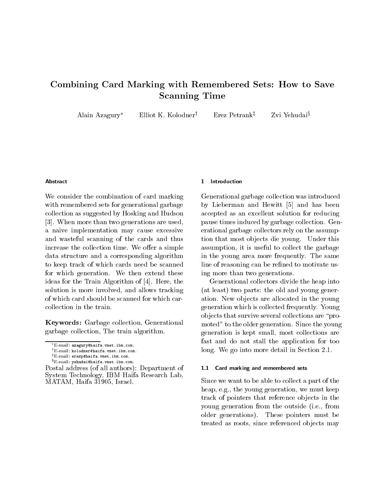# Combining Card Marking with Remembered Sets How to Save  $S = S$  . Scanning  $S = S$  . The set of  $S$

Alain Azagury\* Elliot K. Kolodner<sup>†</sup> Erez Petrank<sup>‡</sup> Zvi Yehudai<sup>§</sup>

### Abstract

We consider the combination of card marking with remembered sets for generational garbage collection as suggested by Hosking and Hudson - When more than two generations are used a naive implementation may cause excessive and wasteful scanning of the cards and thus increase the collection time. We offer a simple data structure and a corresponding algorithm to keep track of which cards need be scanned for which generation. We then extend these ideas for the Train Algorithm of  $[4]$ . Here, the solution is more involved, and allows tracking of which card should be scanned for which car

Keywords Garbage collection Generational garbage collection, The train algorithm.

MATAM Haifa -
Israel

### 1 Introduction

Generational garbage collection was introduced by Lieberman and Hewitt [5] and has been accepted as an excellent solution for reducing pause times induced by garbage collection. Generational garbage collectors rely on the assump tion that most objects die young. Under this assumption, it is useful to collect the garbage in the young area more frequently. The same line of reasoning can be refined to motivate using more than two generations

Generational collectors divide the heap into  $\mathcal{L}$  . The order two parts of the order  $\mathcal{L}$  and  $\mathcal{L}$  and  $\mathcal{L}$ ation. New objects are allocated in the young generation which is collected frequently Young objects that survive several collections are "promoted" to the older generation. Since the young generation is kept small, most collections are fast and do not stall the application for too long. We go into more detail in Section  $2.1$ .

## 1.1 Card marking and remembered sets

Since we want to be able to collect a part of the heap, e.g., the young generation, we must keep track of pointers that reference objects in the young generation from the outside (*i.e.*, from older generations). These pointers must be treated as roots, since referenced objects may

<sup>\*</sup>E-mail: azagury@haifa.vnet.ibm.com.

 $E$ -mail: kolodner@haifa.vnet.ibm.com.

 $E$ -mail: erezp@haifa.vnet.ibm.com.

 $E$ -mail: yehudai@haifa.vnet.ibm.com. Postal address of all authors Department of System Technology, IBM Haifa Research Lab,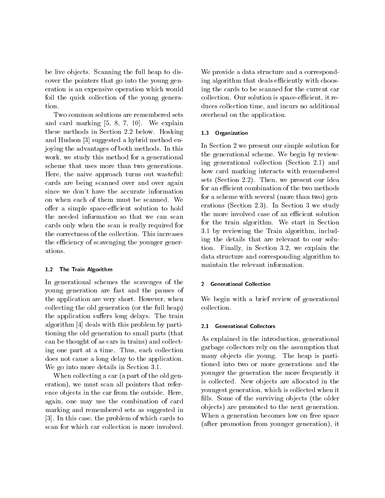be live objects. Scanning the full heap to discover the pointers that go into the young gen eration is an expensive operation which would foil the quick collection of the young genera

Two common solutions are remembered sets and card marking  $[5, 8, 7, 10]$ . We explain these methods in Section 2.2 below. Hosking  $1.3$ and Hudson - suggested a hybrid method energy and the suggested a hybrid method energy and the suggested a hybrid method energy and the suggested a hybrid method energy and the suggested a hybrid method energy and the sugg joying the advantages of both methods. In this work, we study this method for a generational scheme that uses more than two generations Here, the naive approach turns out wasteful: cards are being scanned over and over again since we don't have the accurate information on when each of them must be scanned. We offer a simple space-efficient solution to hold the needed information so that we can scan cards only when the scan is really required for the correctness of the collection. This increases the efficiency of scavenging the younger gener-

### $1.2$ The Train Algorithm

In generational schemes the scavenges of the young generation are fast and the pauses of the application are very short. However, when collecting the old generation (or the full heap) the application suffers long delays. The train algorithm [4] deals with this problem by partitioning the old generation to small parts (that can be thought of as cars in trains) and collecting one part at a time. Thus, each collection does not cause a long delay to the application  $\mathcal{L}$  , and into the more details in Section -  $\mathcal{L}$ 

When collecting a car (a part of the old generation), we must scan all pointers that reference objects in the car from the outside. Here, again, one may use the combination of card marking and remembered sets as suggested in , it are the problem of the problem of which cases the case of the problem of  $\sim$ scan for which car collection is more involved

We provide a data structure and a correspond ing algorithm that deals efficiently with choosing the cards to be scanned for the current car collection. Our solution is space-efficient, it reduces collection time, and incurs no additional overhead on the application

## **Organization**

In Section 2 we present our simple solution for the generational scheme. We begin by reviewing generational collection  $(Section 2.1)$  and how card marking interacts with remembered sets (Section  $2.2$ ). Then, we present our idea for an efficient combination of the two methods for a scheme with several (more than two) generations section is study and the section of the section of the section of the section of the section of the s the more involved case of an efficient solution for the train algorithm. We start in Section - by reviewing the Train algorithm includ ing the details that are relevant to our solu tion Finally in Section - we explain the section data structure and corresponding algorithm to maintain the relevant information

### -Generational Collection

We begin with a brief review of generational collection

#### 2.1 Generational Collectors

As explained in the introduction, generational garbage collectors rely on the assumption that many objects die young. The heap is partitioned into two or more generations and the younger the generation the more frequently it is collected. New objects are allocated in the youngest generation, which is collected when it fills. Some of the surviving objects (the older objects) are promoted to the next generation. When a generation becomes low on free space (after promotion from younger generation), it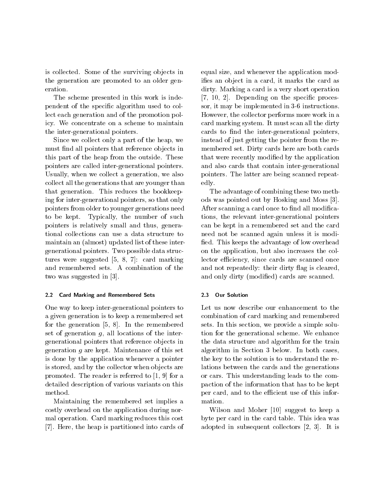is collected. Some of the surviving objects in the generation are promoted to an older gen eration

The scheme presented in this work is inde pendent of the specific algorithm used to collect each generation and of the promotion pol icy. We concentrate on a scheme to maintain the inter-generational pointers.

Since we collect only a part of the heap, we must find all pointers that reference objects in this part of the heap from the outside. These pointers are called inter-generational pointers. Usually, when we collect a generation, we also collect all the generations that are younger than that generation. This reduces the bookkeeping for inter-generational pointers, so that only pointers from older to younger generations need to be kept. Typically, the number of such pointers is relatively small and thus, generational collections can use a data structure to maintain an (almost) updated list of these intergenerational pointers. Two possible data structures were suggested to the card marking of the summer of the summer of the summer of the summer of the summer and remembered sets. A combination of the two was suggested in  $\mathbf{w}$  and  $\mathbf{w}$  and  $\mathbf{w}$  and  $\mathbf{w}$  and  $\mathbf{w}$  and  $\mathbf{w}$  and  $\mathbf{w}$  and  $\mathbf{w}$  and  $\mathbf{w}$  and  $\mathbf{w}$  and  $\mathbf{w}$  and  $\mathbf{w}$  and  $\mathbf{w}$  and  $\mathbf{w}$  and  $\mathbf{w}$  and  $\mathbf{$ 

## Card Marking and Remembered Sets

One way to keep inter-generational pointers to a given generation is to keep a remembered set for the generation  $[5, 8]$ . In the remembered set of generation  $q$ , all locations of the intergenerational pointers that reference ob jects in generation q are kept. Maintenance of this set is done by the application whenever a pointer is stored, and by the collector when objects are promoted. The reader is referred to  $[1, 9]$  for a detailed description of various variants on this method

Maintaining the remembered set implies a costly overhead on the application during nor mal operation. Card marking reduces this cost [7]. Here, the heap is partitioned into cards of equal size, and whenever the application modifies an object in a card, it marks the card as dirty. Marking a card is a very short operation  $[7, 10, 2]$ . Depending on the specific processor, it may, be implemented in a second interest. However, the collector performs more work in a card marking system. It must scan all the dirty cards to find the inter-generational pointers, instead of just getting the pointer from the re membered set. Dirty cards here are both cards that were recently modified by the application and also cards that contain inter-generational pointers. The latter are being scanned repeatedly

The advantage of combining these two meth ods was pointed out by Hosking and Moss - and Moss - and Moss - and Moss - and Moss - and Moss - and Moss - an After scanning a card once to find all modifications, the relevant inter-generational pointers can be kept in a remembered set and the card need not be scanned again unless it is modi fied. This keeps the advantage of low overhead on the application, but also increases the collector efficiency, since cards are scanned once and not repeated their dirty against the contract of the contract of the contract of the contract of the contract of the contract of the contract of the contract of the contract of the contract of the contract of the contr and only dirty (modified) cards are scanned.

#### 23 Our Solution

Let us now describe our enhancement to the combination of card marking and remembered sets. In this section, we provide a simple solution for the generational scheme. We enhance the data structure and algorithm for the train algorithm in Section - Section - Section - Section - Section - Section - Section - Section - Section - Section the key to the solution is to understand the re lations between the cards and the generations or cars. This understanding leads to the compaction of the information that has to be kept per card, and to the efficient use of this information

Wilson and Moher [10] suggest to keep a byte per card in the card table. This idea was adopted in subsequent collectors in subsequent collectors in the subsequent collectors of the subsequent collect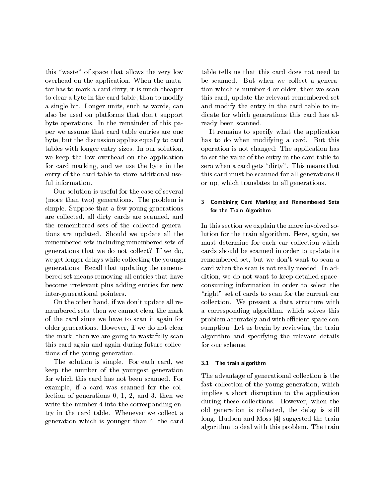this "waste" of space that allows the very low overhead on the application. When the mutator has to mark a card dirty, it is much cheaper to clear a byte in the card table, than to modify a single bit. Longer units, such as words, can also be used on platforms that don't support byte operations In the remainder of this pa per we assume that card table entries are one byte but the discussion applies equally to card tables with longer entry sizes. In our solution, we keep the low overhead on the application for card marking, and we use the byte in the entry of the card table to store additional use ful information

Our solution is useful for the case of several (more than two) generations. The problem is simple. Suppose that a few young generations are collected, all dirty cards are scanned, and the remembered sets of the collected genera tions are updated. Should we update all the remembered sets including remembered sets of generations that we do not collect? If we do, we get longer delays while collecting the younger generations Recall that updating the remem bered set means removing all entries that have become irrelevant plus adding entries for new inter-generational pointers.

On the other hand, if we don't update all remembered sets, then we cannot clear the mark of the card since we have to scan it again for older generations. However, if we do not clear the mark, then we are going to wastefully scan this card again and again during future collec tions of the young generation

The solution is simple. For each card, we  $3.1$ keep the number of the youngest generation for which this card has not been scanned. For example, if a card was scanned for the collection of generations and - then we define the state of generations of generations of generations and state o write the number 4 into the corresponding entry in the card table. Whenever we collect a generation which is younger than 4, the card

table tells us that this card does not need to be scanned. But when we collect a generation which is number 4 or older, then we scan this card, update the relevant remembered set and modify the entry in the card table to in dicate for which generations this card has al ready been scanned

It remains to specify what the application has to do when modifying a card. But this operation is not changed in the application in the application in the application of the application in the application of the application of the application of the application of the application of the application of the to set the value of the entry in the card table to zero when a card gets "dirty". This means that this card must be scanned for all generations or up, which translates to all generations.

## Combining Card Marking and Remembered Sets for the Train Algorithm

In this section we explain the more involved so lution for the train algorithm. Here, again, we must determine for each car collection which cards should be scanned in order to update its remembered set, but we don't want to scan a card when the scan is not really needed. In addition, we do not want to keep detailed spaceconsuming information in order to select the "right" set of cards to scan for the current car collection. We present a data structure with a corresponding algorithm, which solves this problem accurately and with efficient space consumption. Let us begin by reviewing the train algorithm and specifying the relevant details for our scheme

## The train algorithm

The advantage of generational collection is the fast collection of the young generation, which implies a short disruption to the application during these collections. However, when the old generation is collected, the delay is still long. Hudson and Moss  $[4]$  suggested the train algorithm to deal with this problem. The train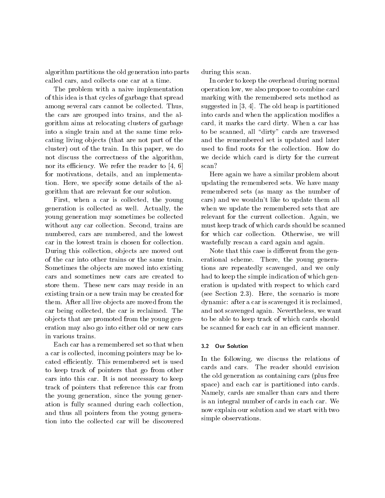algorithm partitions the old generation into parts called cars, and collects one car at a time.

The problem with a naive implementation of this idea is that cycles of garbage that spread among several cars cannot be collected. Thus, the cars are grouped into trains, and the algorithm aims at relocating clusters of garbage into a single train and at the same time relocating living objects (that are not part of the cluster) out of the train. In this paper, we do not discuss the correctness of the algorithm nor its efficiency. We refer the reader to  $[4, 6]$ for motivations, details, and an implementation. Here, we specify some details of the algorithm that are relevant for our solution

First, when a car is collected, the young generation is collected as well. Actually, the young generation may sometimes be collected without any car collection. Second, trains are numbered, cars are numbered, and the lowest car in the lowest train is chosen for collection During this collection, objects are moved out of the car into other trains or the same train Sometimes the objects are moved into existing cars and sometimes new cars are created to store them. These new cars may reside in an existing train or a new train may be created for them. After all live objects are moved from the car being collected, the car is reclaimed. The ob jects that are promoted from the young gen eration may also go into either old or new cars in various trains

Each car has a remembered set so that when a car is collected, incoming pointers may be located efficiently. This remembered set is used to keep track of pointers that go from other cars into this car. It is not necessary to keep track of pointers that reference this car from the young generation, since the young generation is fully scanned during each collection and thus all pointers from the young genera tion into the collected car will be discovered during this scan.

In order to keep the overhead during normal operation low, we also propose to combine card marking with the remembered sets method as suggested in the old heap is a set of the old heap is partition to the old heap is partition of the old heap is  $\sim$ into cards and when the application modifies a card, it marks the card dirty. When a car has to be scanned, all "dirty" cards are traversed and the remembered set is updated and later used to find roots for the collection. How do we decide which card is dirty for the current scan?

Here again we have a similar problem about updating the remembered sets. We have many remembered sets (as many as the number of cars) and we wouldn't like to update them all when we update the remembered sets that are relevant for the current collection. Again, we must keep track of which cards should be scanned for which car collection. Otherwise, we will wastefully rescan a card again and again

Note that this case is different from the generational scheme. There, the young generations are repeatedly scavenged, and we only had to keep the simple indication of which gen eration is updated with respect to which card where Section - Section - Section - Section - Section - Section - Section - Section - Section - Section - Section distribution and care in the care is reclaimed in the care of the case of the case of the case of the case of the case of the case of the case of the case of the case of the case of the case of the case of the case of the and not scavenged again. Nevertheless, we want to be able to keep track of which cards should be scanned for each car in an efficient manner.

### 3.2 Our Solution

In the following, we discuss the relations of cards and cars. The reader should envision the old generation as containing cars (plus free space) and each car is partitioned into cards. Namely, cards are smaller than cars and there is an integral number of cards in each car. We now explain our solution and we start with two simple observations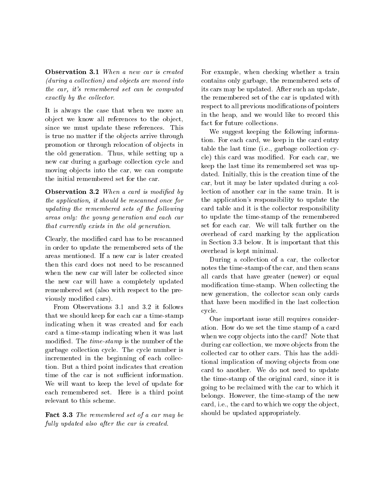<u>- when a new carrier was contracted</u> and a new contracted and  $\sim$  $(during a collection) and objects are moved into$ the car- its remembered set can be computed  $\emph{exactly by the collector.}$ 

It is always the case that when we move an object we know all references to the object. since we must update these references. This is true no matter if the objects arrive through promotion or through relocation of objects in the old generation. Thus, while setting up a new car during a garbage collection cycle and moving objects into the car, we can compute the initial remembered set for the car

Observation - When a card is modied by the application-between the application-between the should be rescanned on the should be rescanned on the should be rescanned on the should be rescanned on the should be rescanned on the should be rescanned on the should b updating the remembered sets of the following areas only: the young generation and each car that currently exists in the old generation

Clearly, the modified card has to be rescanned in order to update the remembered sets of the areas mentioned. If a new car is later created then this card does not need to be rescanned when the new car will later be collected since the new car will have a completely updated remembered set (also with respect to the previously modified cars).

From Observations - and - it follows that we should keep for each car a timestamp indicating when it was created and for each card a time-stamp indicating when it was last modified. The *time-stamp* is the number of the garbage collection cycle The cycle number is incremented in the beginning of each collec tion. But a third point indicates that creation time of the car is not sufficient information. We will want to keep the level of update for each remembered set Here is a third point relevant to this scheme

 $\blacksquare$  and  $\blacksquare$  . The remember of our of a car may be fully updated also after the car is created.

For example, when checking whether a train contains only garbage, the remembered sets of its cars may be updated. After such an update. the remembered set of the car is updated with respect to all previous modifications of pointers in the heap, and we would like to record this fact for future collections

We suggest keeping the following informa tion. For each card, we keep in the card entry table the last time (i.e., garbage collection cycle) this card was modified. For each car, we keep the last time its remembered set was up dated. Initially, this is the creation time of the car, but it may be later updated during a collection of another car in the same train. It is the application's responsibility to update the card table and it is the collector responsibility to update the timestamp of the remembered set for each car. We will talk further on the overhead of card marking by the application in Section - Section - Section - Section - Section - Section - Section - Section - Section - Section - Section overhead is kept minimal

During a collection of a car, the collector notes the time-stamp of the car, and then scans all cards that have greater (newer) or equal modification time-stamp. When collecting the new generation, the collector scan only cards that have been modified in the last collection cycle

One important issue still requires consider ation. How do we set the time stamp of a card when we copy objects into the card? Note that during car collection, we move objects from the collected car to other cars. This has the additional implication of moving objects from one card to another. We do not need to update the time-stamp of the original card, since it is going to be reclaimed with the car to which it belongs. However, the time-stamp of the new card, i.e., the card to which we copy the object. should be updated appropriately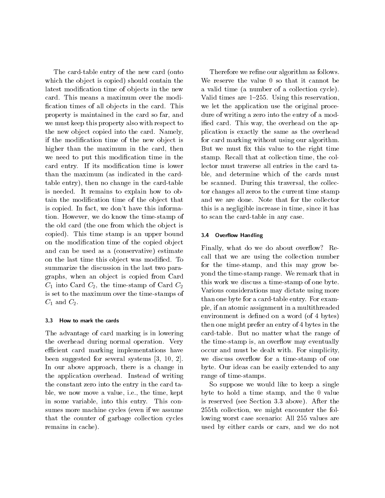The card-table entry of the new card (onto which the object is copied should contain the latest modification time of objects in the new card. This means a maximum over the modification times of all objects in the card. This property is maintained in the card so far, and we must keep this property also with respect to the new object copied into the card. Namely, if the modification time of the new object is higher than the maximum in the card, then we need to put this modification time in the card entry. If its modification time is lower than the maximum (as indicated in the cardtable entry), then no change in the card-table is needed. It remains to explain how to obtain the modification time of the object that is copied. In fact, we don't have this information. However, we do know the time-stamp of the old card (the one from which the object is copied). This time stamp is an upper bound  $\qquad 3.4$ on the modification time of the copied object and can be used as a (conservative) estimate on the last time this object was modified. To summarize the discussion in the last two para graphs, when an object is copied from Card  $C_1$  into Card  $C_2$ , the time-stamp of Card  $C_2$ is set to the maximum over the timestamps of  $C_1$  and  $C_2$ .

## 3.3 How to mark the cards

The advantage of card marking is in lowering the overhead during normal operation. Very efficient card marking implementations have  $\mathbf{b}$  see suggested for several systems  $\mathbf{b}$  systems  $\mathbf{c}$ In our above approach, there is a change in the application overhead. Instead of writing the constant zero into the entry in the card ta ble, we now move a value, i.e., the time, kept in some variable, into this entry. This consumes more machine cycles (even if we assume that the counter of garbage collection cycles remains in cache).

Therefore we refine our algorithm as follows. We reserve the value  $0$  so that it cannot be a valid time (a number of a collection cycle). Valid times are  $1-255$ . Using this reservation. we let the application use the original proce dure of writing a zero into the entry of a mod ified card. This way, the overhead on the application is exactly the same as the overhead for card marking without using our algorithm But we must fix this value to the right time stamp. Recall that at collection time, the collector must traverse all entries in the card ta ble, and determine which of the cards must be scanned. During this traversal, the collector changes all zeros to the current time stamp and we are done. Note that for the collector this is a negligible increase in time, since it has to scan the card-table in any case.

## **Overflow Handling**

Finally, what do we do about overflow? Recall that we are using the collection number for the time-stamp, and this may grow beyond the time-stamp range. We remark that in this work we discuss a time-stamp of one byte. Various considerations may dictate using more than one byte for a card-table entry. For example, if an atomic assignment in a multithreaded environment is defined on a word (of 4 bytes) then one might prefer an entry of 4 bytes in the card-table. But no matter what the range of the time stamp is, an overflow may eventually occur and must be dealt with. For simplicity we discuss overflow for a time-stamp of one byte Our ideas can be easily extended to any range of time-stamps.

So suppose we would like to keep a single byte to hold a time stamp, and the  $0$  value is reserved the section of the seed the section of the section of the section of  $\mathcal{A}$ 255th collection, we might encounter the following worst case scenario All values are used by either cards or cars, and we do not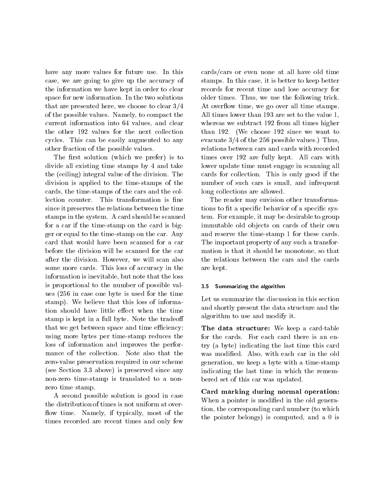have any more values for future use. In this case, we are going to give up the accuracy of the information we have kept in order to clear space for new information. In the two solutions that are presented here, we choose to clear  $3/4$ of the possible values. Namely, to compact the current information into 64 values, and clear the other 192 values for the next collection cycles. This can be easily augmented to any other fraction of the possible values

The first solution (which we prefer) is to divide all existing time stamps by 4 and take the (ceiling) integral value of the division. The division is applied to the timestamps of the cards, the time-stamps of the cars and the collection counter. This transformation is fine since it preserves the relations between the time stamps in the system. A card should be scanned for a car if the timestamp on the card is big ger or equal to the time-stamp on the car. Any card that would have been scanned for a car before the division will be scanned for the car after the division. However, we will scan also some more cards. This loss of accuracy in the information is inevitable, but note that the loss is proportional to the number of possible val ues  $(256 \text{ in case one byte is used for the time})$ stamp). We believe that this loss of information should have little effect when the time stamp is kept in a full byte. Note the tradeoff that we get between space and time efficiency: using more bytes per timestamp reduces the loss of information and improves the perfor mance of the collection. Note also that the zero-value preservation required in our scheme is see Section and since a presence is the since  $\mathbf{y} = \mathbf{y}$ non-zero time-stamp is translated to a nonzero time stamp

A second possible solution is good in case the distribution of times is not uniform at over flow time. Namely, if typically, most of the times recorded are recent times and only few

 $\mathcal{A}$  are statistically the governous called stamps.  $\text{cards/cars}$  or even none at all have old time stamps. In this case, it is better to keep better records for recent time and lose accuracy for older times. Thus, we use the following trick. All times lower than - are set to the value whereas we subtract 192 from all times higher than  $192.$  (We choose  $192$  since we want to evacuate - of the possible values of the possible values of the possible values of the possible values of th relations between cars and cards with recorded times over 192 are fully kept. All cars with lower update time must engage in scanning all cards for collection. This is only good if the number of such cars is small, and infrequent long collections are allowed

> The reader may envision other transforma tions to fit a specific behavior of a specific system. For example, it may be desirable to group immutable old objects on cards of their own and reserve the time-stamp 1 for these cards. The important property of any such a transfor mation is that it should be monotone, so that the relations between the cars and the cards are kept

#### Summarizing the algorithm  $35$

Let us summarize the discussion in this section and shortly present the data structure and the algorithm to use and modify it

The data structure were well as a cardiable well as a cardiable control of the structure were well as a cardia for the cards. For each card there is an entry (a byte) indicating the last time this card was modified. Also, with each car in the old generation, we keep a byte with a time-stamp indicating the last time in which the remem bered set of this car was updated

Card marking during normal operation When a pointer is modified in the old generation, the corresponding card number (to which the pointer belongs) is computed, and a 0 is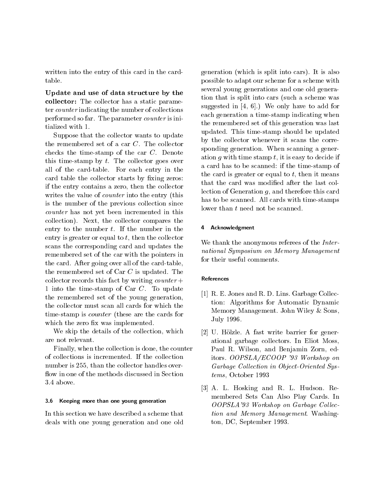written into the entry of this card in the card table

Update and use of data structure by the collector The collector has a static parameter ter counter indicating the number of collections performed so far. The parameter counter is initialized with

Suppose that the collector wants to update the remembered set of a car  $C$ . The collector checks the time-stamp of the car  $C$ . Denote this time-stamp by  $t$ . The collector goes over all of the card-table. For each entry in the card table the collector starts by fixing zeros: if the entry contains a zero, then the collector writes the value of *counter* into the entry (this is the number of the previous collection since counter has not yet been incremented in this collection). Next, the collector compares the entry to the number  $t$ . If the number in the entry is greater or equal to  $t$ , then the collector scans the corresponding card and updates the remembered set of the car with the pointers in the card. After going over all of the card-table, the remembered set of Car  $C$  is updated. The collector records this fact by writing *counter* + 1 into the time-stamp of Car C. To update the remembered set of the young generation the collector must scan all cards for which the time-stamp is *counter* (these are the cards for which the zero fix was implemented.

We skip the details of the collection, which are not relevant

Finally, when the collection is done, the counter of collections is incremented. If the collection number is 255, than the collector handles overflow in one of the methods discussed in Section

## 3.6 Keeping more than one young generation

In this section we have described a scheme that deals with one young generation and one old

generation (which is split into cars). It is also possible to adapt our scheme for a scheme with several young generations and one old genera tion that is split into cars (such a scheme was suggested in  $[4, 6]$ .) We only have to add for each generation a timestamp indicating when the remembered set of this generation was last updated. This time-stamp should be updated by the collector whenever it scans the corre sponding generation. When scanning a generation q with time stamp  $t$ , it is easy to decide if a card has to be scanned by timestamp of timestamp of timestamp of timestamp of timestamp of timestamp of time the card is greater or equal to  $t$ , then it means that the card was modified after the last collection of Generation  $q$ , and therefore this card has to be scanned. All cards with time-stamps lower than  $t$  need not be scanned.

## Acknowledgment

We thank the anonymous referees of the *Inter*national Symposium on Memory Management for their useful comments

### References

- [1] R. E. Jones and R. D. Lins. Garbage Collection Algorithms for Automatic Dynamic Memory Management. John Wiley & Sons. July 1996.
- [2] U. Hölzle. A fast write barrier for generational garbage collectors In Eliot Moss Paul R. Wilson, and Benjamin Zorn, editors of the Cooper of the Cooper of the Cooper of the Cooper of the Cooper of the Cooper of the Cooper of the Garbage Collection in Object Oriented Sys $tems$ , October 1993
- , a little and and respect to the resonance and respect to the second resonance of the second resonance of the membered Sets Can Also Play Cards In OOPSLA Workshop on Garbage Col lec tion and Memory Management. Washington DC September 2014 and 2014 and 2014 and 2014 and 2014 and 2014 and 2014 and 2014 and 2014 and 2014 and 201